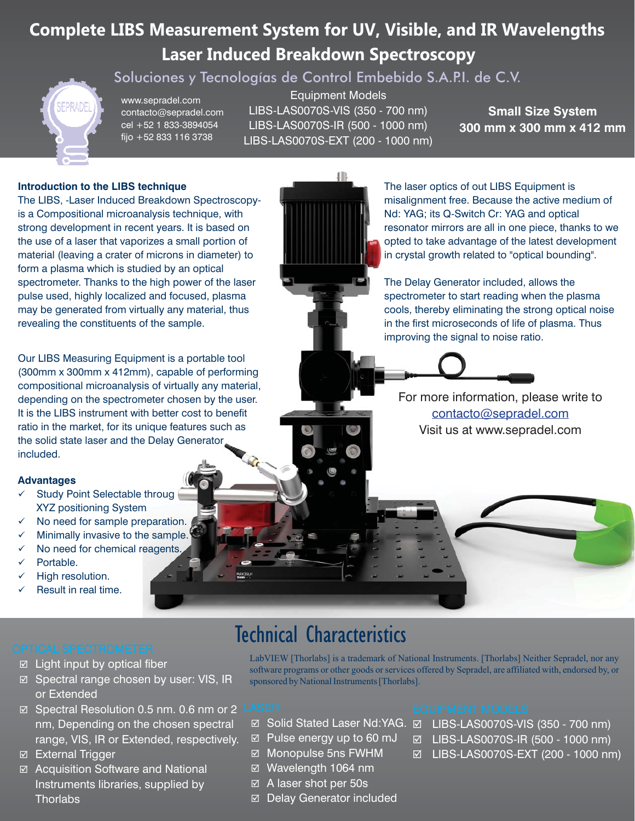# **Complete LIBS Measurement System for UV, Visible, and IR Wavelengths Laser Induced Breakdown Spectroscopy**

Soluciones y Tecnologías de Control Embebido S.A.P.I. de C.V.

www.sepradel.com contacto@sepradel.com cel +52 1 833-3894054 fijo +52 833 116 3738

Equipment Models LIBS-LAS0070S-VIS (350 - 700 nm) LIBS-LAS0070S-IR (500 - 1000 nm) LIBS-LAS0070S-EXT (200 - 1000 nm)

**Small Size System 300 mm x 300 mm x 412 mm**

## **Introduction to the LIBS technique**

The LIBS, -Laser Induced Breakdown Spectroscopyis a Compositional microanalysis technique, with strong development in recent years. It is based on the use of a laser that vaporizes a small portion of material (leaving a crater of microns in diameter) to form a plasma which is studied by an optical spectrometer. Thanks to the high power of the laser pulse used, highly localized and focused, plasma may be generated from virtually any material, thus revealing the constituents of the sample.

Our LIBS Measuring Equipment is a portable tool (300mm x 300mm x 412mm), capable of performing compositional microanalysis of virtually any material, depending on the spectrometer chosen by the user. It is the LIBS instrument with better cost to benefit ratio in the market, for its unique features such as the solid state laser and the Delay Generator included.

### **Advantages**

- $\checkmark$  Study Point Selectable throug XYZ positioning System
- $\checkmark$ No need for sample preparation.
- $\checkmark$ Minimally invasive to the sample.
- $\checkmark$ No need for chemical reagents.

 $\boxtimes$  Light input by optical fiber

⊠ Spectral range chosen by user: VIS, IR

 Spectral Resolution 0.5 nm. 0.6 nm or 2 nm, Depending on the chosen spectral range, VIS, IR or Extended, respectively.

 Acquisition Software and National Instruments libraries, supplied by

- $\checkmark$ Portable.
- $\checkmark$ High resolution.

or Extended

**External Trigger** 

**Thorlabs** 

 $\checkmark$ Result in real time.

# Technical Characteristics

LabVIEW [Thorlabs] is a trademark of National Instruments. [Thorlabs] Neither Sepradel, nor any software programs or other goods or services offered by Sepradel, are affiliated with, endorsed by, or sponsored by National Instruments [Thorlabs].

- 
- $\boxtimes$  Pulse energy up to 60 mJ
- Monopulse 5ns FWHM
- Wavelength 1064 nm
- A laser shot per 50s
- Delay Generator included

- Solid Stated Laser Nd:YAG. LIBS-LAS0070S-VIS (350 700 nm)
	- LIBS-LAS0070S-IR (500 1000 nm)
	- LIBS-LAS0070S-EXT (200 1000 nm)

## For more information, please write to contacto@sepradel.com Visit us at www.sepradel.com

improving the signal to noise ratio.

The laser optics of out LIBS Equipment is

Nd: YAG; its Q-Switch Cr: YAG and optical

misalignment free. Because the active medium of

in the first microseconds of life of plasma. Thus

resonator mirrors are all in one piece, thanks to we opted to take advantage of the latest development in crystal growth related to "optical bounding". The Delay Generator included, allows the spectrometer to start reading when the plasma cools, thereby eliminating the strong optical noise